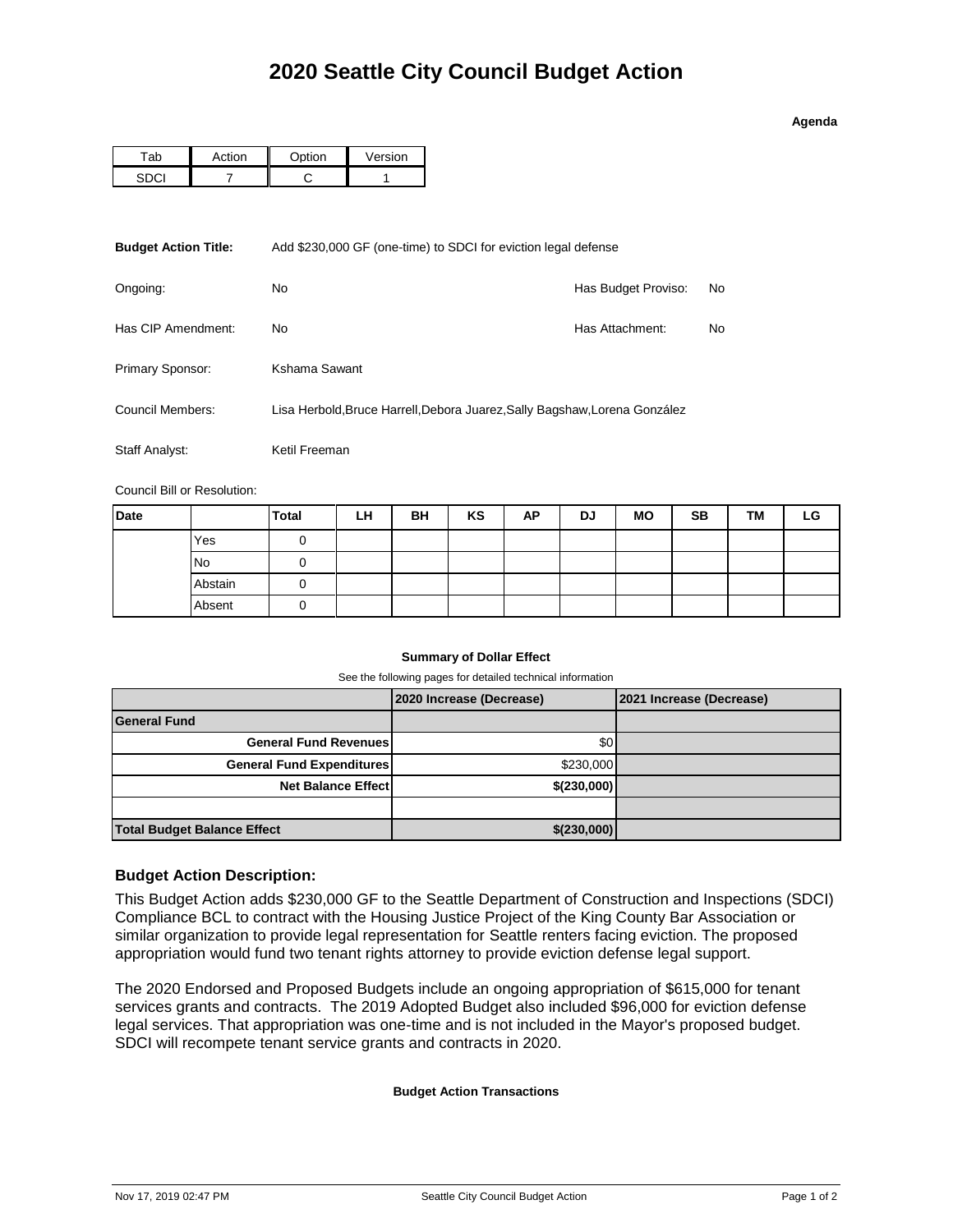### **Agenda**

| ction | $\sim$ tion | Version |  |  |
|-------|-------------|---------|--|--|
|       |             |         |  |  |

| <b>Budget Action Title:</b>                                                                    | Add \$230,000 GF (one-time) to SDCI for eviction legal defense |                     |    |  |  |  |
|------------------------------------------------------------------------------------------------|----------------------------------------------------------------|---------------------|----|--|--|--|
| Ongoing:                                                                                       | No.                                                            | Has Budget Proviso: | No |  |  |  |
| Has CIP Amendment:                                                                             | No.                                                            | Has Attachment:     | No |  |  |  |
| Primary Sponsor:                                                                               | Kshama Sawant                                                  |                     |    |  |  |  |
| Council Members:<br>Lisa Herbold, Bruce Harrell, Debora Juarez, Sally Bagshaw, Lorena González |                                                                |                     |    |  |  |  |
| Staff Analyst:                                                                                 | Ketil Freeman                                                  |                     |    |  |  |  |

Council Bill or Resolution:

| <b>Date</b> |           | <b>Total</b> | LH | BH | KS | AP | DJ | <b>MO</b> | <b>SB</b> | TМ | LG |
|-------------|-----------|--------------|----|----|----|----|----|-----------|-----------|----|----|
|             | Yes       |              |    |    |    |    |    |           |           |    |    |
|             | <b>No</b> |              |    |    |    |    |    |           |           |    |    |
|             | Abstain   |              |    |    |    |    |    |           |           |    |    |
|             | Absent    | O            |    |    |    |    |    |           |           |    |    |

## **Summary of Dollar Effect**

See the following pages for detailed technical information

|                                    | 2020 Increase (Decrease) | 2021 Increase (Decrease) |
|------------------------------------|--------------------------|--------------------------|
| <b>General Fund</b>                |                          |                          |
| <b>General Fund Revenues</b>       | \$0                      |                          |
| <b>General Fund Expenditures</b>   | \$230,000                |                          |
| <b>Net Balance Effect</b>          | \$(230,000)              |                          |
|                                    |                          |                          |
| <b>Total Budget Balance Effect</b> | \$(230,000)              |                          |

## **Budget Action Description:**

This Budget Action adds \$230,000 GF to the Seattle Department of Construction and Inspections (SDCI) Compliance BCL to contract with the Housing Justice Project of the King County Bar Association or similar organization to provide legal representation for Seattle renters facing eviction. The proposed appropriation would fund two tenant rights attorney to provide eviction defense legal support.

The 2020 Endorsed and Proposed Budgets include an ongoing appropriation of \$615,000 for tenant services grants and contracts. The 2019 Adopted Budget also included \$96,000 for eviction defense legal services. That appropriation was one-time and is not included in the Mayor's proposed budget. SDCI will recompete tenant service grants and contracts in 2020.

### **Budget Action Transactions**